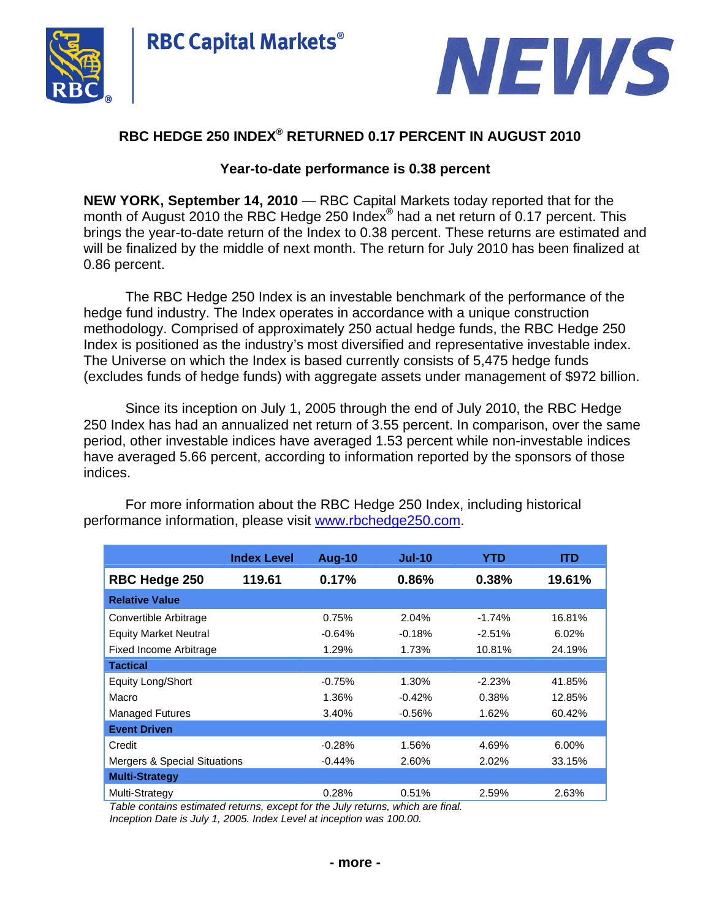



# **RBC HEDGE 250 INDEX® RETURNED 0.17 PERCENT IN AUGUST 2010**

**RBC Capital Markets®** 

## **Year-to-date performance is 0.38 percent**

**NEW YORK, September 14, 2010** — RBC Capital Markets today reported that for the month of August 2010 the RBC Hedge 250 Index**®** had a net return of 0.17 percent. This brings the year-to-date return of the Index to 0.38 percent. These returns are estimated and will be finalized by the middle of next month. The return for July 2010 has been finalized at 0.86 percent.

The RBC Hedge 250 Index is an investable benchmark of the performance of the hedge fund industry. The Index operates in accordance with a unique construction methodology. Comprised of approximately 250 actual hedge funds, the RBC Hedge 250 Index is positioned as the industry's most diversified and representative investable index. The Universe on which the Index is based currently consists of 5,475 hedge funds (excludes funds of hedge funds) with aggregate assets under management of \$972 billion.

Since its inception on July 1, 2005 through the end of July 2010, the RBC Hedge 250 Index has had an annualized net return of 3.55 percent. In comparison, over the same period, other investable indices have averaged 1.53 percent while non-investable indices have averaged 5.66 percent, according to information reported by the sponsors of those indices.

|                              | <b>Index Level</b> | <b>Aug-10</b> | $Jul-10$  | YTD      | <b>ITD</b> |
|------------------------------|--------------------|---------------|-----------|----------|------------|
| <b>RBC Hedge 250</b>         | 119.61             | 0.17%         | 0.86%     | 0.38%    | 19.61%     |
| <b>Relative Value</b>        |                    |               |           |          |            |
| Convertible Arbitrage        |                    | 0.75%         | 2.04%     | $-1.74%$ | 16.81%     |
| <b>Equity Market Neutral</b> |                    | $-0.64%$      | $-0.18%$  | $-2.51%$ | 6.02%      |
| Fixed Income Arbitrage       |                    | 1.29%         | 1.73%     | 10.81%   | 24.19%     |
| <b>Tactical</b>              |                    |               |           |          |            |
| Equity Long/Short            |                    | $-0.75%$      | 1.30%     | $-2.23%$ | 41.85%     |
| Macro                        |                    | 1.36%         | $-0.42%$  | 0.38%    | 12.85%     |
| <b>Managed Futures</b>       |                    | 3.40%         | $-0.56\%$ | 1.62%    | 60.42%     |
| <b>Event Driven</b>          |                    |               |           |          |            |
| Credit                       |                    | $-0.28%$      | 1.56%     | 4.69%    | 6.00%      |
| Mergers & Special Situations |                    | $-0.44%$      | 2.60%     | 2.02%    | 33.15%     |
| <b>Multi-Strategy</b>        |                    |               |           |          |            |
| Multi-Strategy               |                    | 0.28%         | 0.51%     | 2.59%    | 2.63%      |

For more information about the RBC Hedge 250 Index, including historical performance information, please visit www.rbchedge250.com.

*Table contains estimated returns, except for the July returns, which are final. Inception Date is July 1, 2005. Index Level at inception was 100.00.*